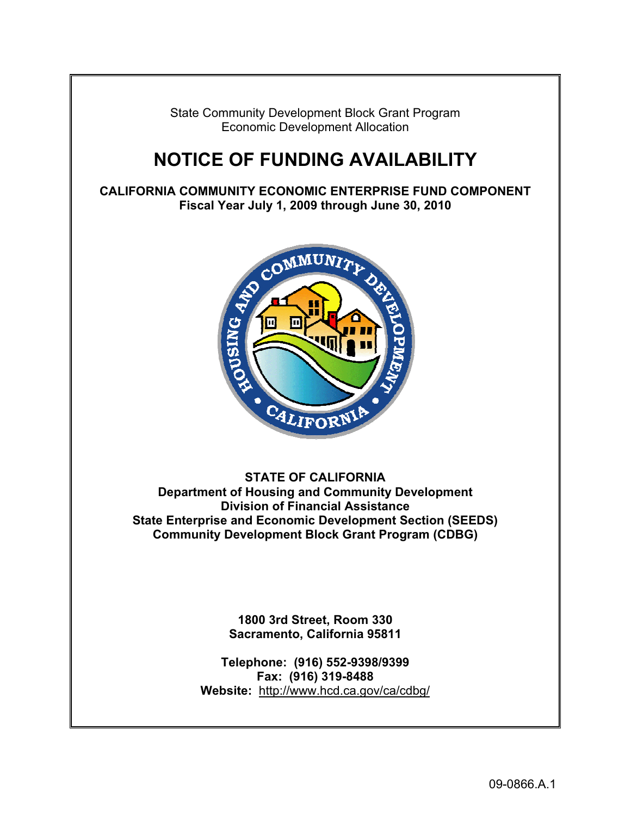State Community Development Block Grant Program Economic Development Allocation

## **NOTICE OF FUNDING AVAILABILITY**

**CALIFORNIA COMMUNITY ECONOMIC ENTERPRISE FUND COMPONENT Fiscal Year July 1, 2009 through June 30, 2010** 



**STATE OF CALIFORNIA Department of Housing and Community Development Division of Financial Assistance State Enterprise and Economic Development Section (SEEDS) Community Development Block Grant Program (CDBG)** 

> **1800 3rd Street, Room 330 Sacramento, California 95811**

**Telephone: (916) 552-9398/9399 Fax: (916) 319-8488 Website:** http://www.hcd.ca.gov/ca/cdbg/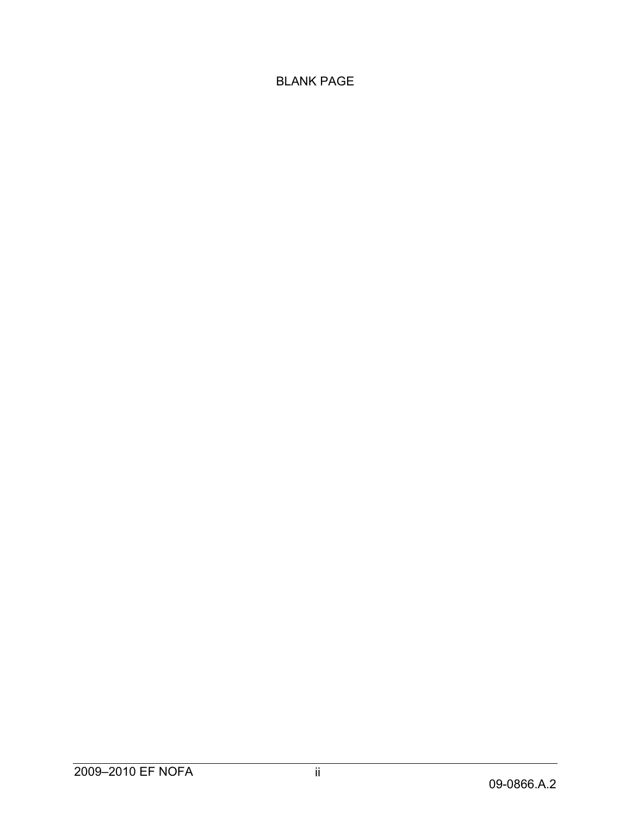#### **BLANK PAGE**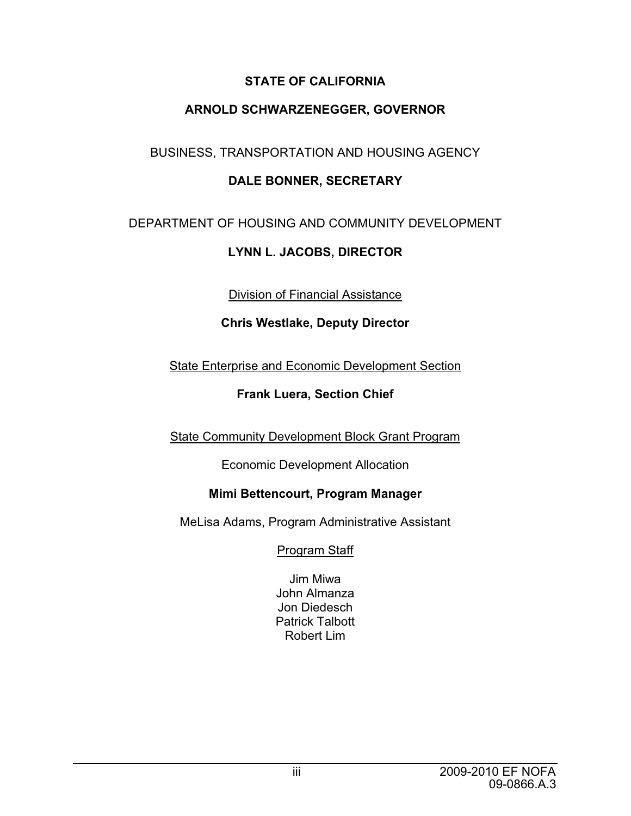#### **STATE OF CALIFORNIA**

#### **ARNOLD SCHWARZENEGGER, GOVERNOR**

#### BUSINESS, TRANSPORTATION AND HOUSING AGENCY

#### **DALE BONNER, SECRETARY**

## DEPARTMENT OF HOUSING AND COMMUNITY DEVELOPMENT

## **LYNN L. JACOBS, DIRECTOR**

Division of Financial Assistance

## **Chris Westlake, Deputy Director**

State Enterprise and Economic Development Section

## **Frank Luera, Section Chief**

State Community Development Block Grant Program

Economic Development Allocation

## **Mimi Bettencourt, Program Manager**

MeLisa Adams, Program Administrative Assistant

Program Staff

Jim Miwa John Almanza Jon Diedesch Patrick Talbott Robert Lim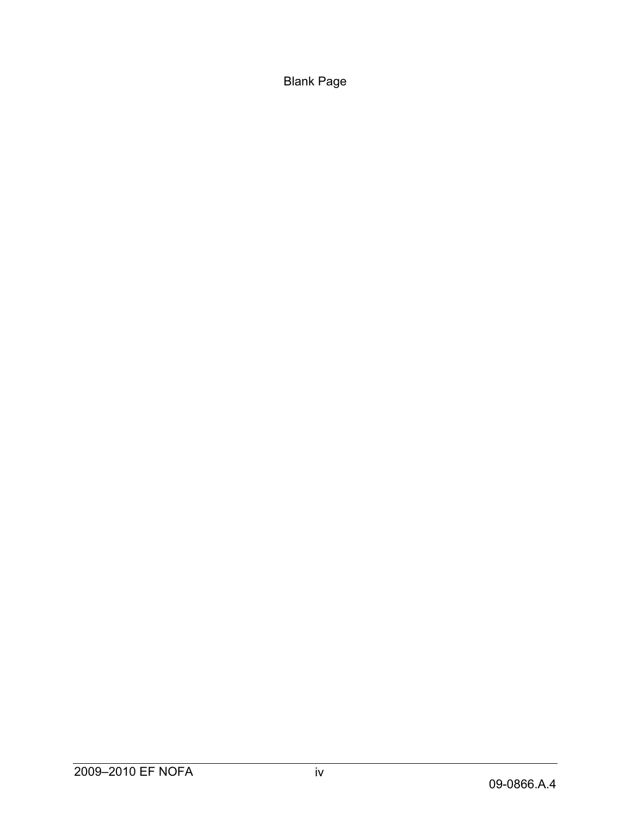**Blank Page**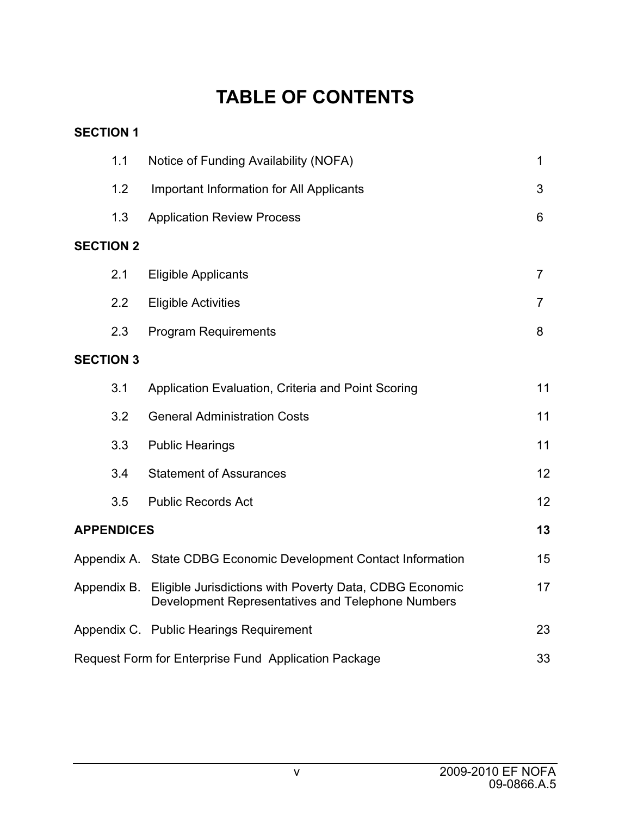## **TABLE OF CONTENTS**

| <b>SECTION 1</b>                                     |     |                                                                                                                          |                |
|------------------------------------------------------|-----|--------------------------------------------------------------------------------------------------------------------------|----------------|
|                                                      | 1.1 | Notice of Funding Availability (NOFA)                                                                                    | 1              |
|                                                      | 1.2 | <b>Important Information for All Applicants</b>                                                                          | 3              |
|                                                      | 1.3 | <b>Application Review Process</b>                                                                                        | 6              |
| <b>SECTION 2</b>                                     |     |                                                                                                                          |                |
|                                                      | 2.1 | <b>Eligible Applicants</b>                                                                                               | $\overline{7}$ |
|                                                      | 2.2 | <b>Eligible Activities</b>                                                                                               | $\overline{7}$ |
|                                                      | 2.3 | <b>Program Requirements</b>                                                                                              | 8              |
| <b>SECTION 3</b>                                     |     |                                                                                                                          |                |
|                                                      | 3.1 | Application Evaluation, Criteria and Point Scoring                                                                       | 11             |
|                                                      | 3.2 | <b>General Administration Costs</b>                                                                                      | 11             |
|                                                      | 3.3 | <b>Public Hearings</b>                                                                                                   | 11             |
|                                                      | 3.4 | <b>Statement of Assurances</b>                                                                                           | 12             |
|                                                      | 3.5 | <b>Public Records Act</b>                                                                                                | 12             |
| <b>APPENDICES</b>                                    |     |                                                                                                                          | 13             |
|                                                      |     | Appendix A. State CDBG Economic Development Contact Information                                                          | 15             |
|                                                      |     | Appendix B. Eligible Jurisdictions with Poverty Data, CDBG Economic<br>Development Representatives and Telephone Numbers | 17             |
|                                                      |     | Appendix C. Public Hearings Requirement                                                                                  | 23             |
| Request Form for Enterprise Fund Application Package |     |                                                                                                                          | 33             |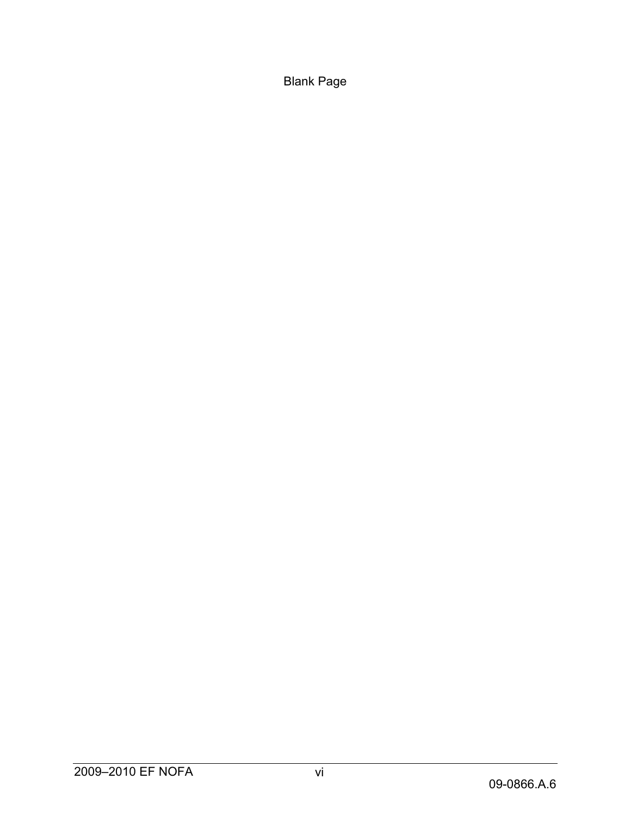**Blank Page**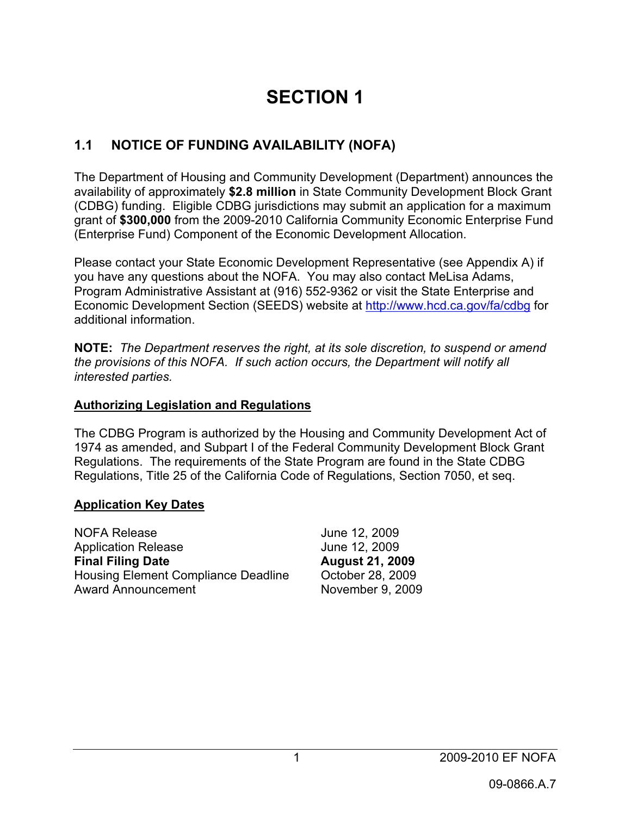# **SECTION 1**

## **1.1 NOTICE OF FUNDING AVAILABILITY (NOFA)**

The Department of Housing and Community Development (Department) announces the availability of approximately **\$2.8 million** in State Community Development Block Grant (CDBG) funding. Eligible CDBG jurisdictions may submit an application for a maximum grant of **\$300,000** from the 2009-2010 California Community Economic Enterprise Fund (Enterprise Fund) Component of the Economic Development Allocation.

Please contact your State Economic Development Representative (see Appendix A) if you have any questions about the NOFA. You may also contact MeLisa Adams, Program Administrative Assistant at (916) 552-9362 or visit the State Enterprise and Economic Development Section (SEEDS) website at http://www.hcd.ca.gov/fa/cdbg for additional information.

**NOTE:** *The Department reserves the right, at its sole discretion, to suspend or amend the provisions of this NOFA. If such action occurs, the Department will notify all interested parties.*

#### **Authorizing Legislation and Regulations**

The CDBG Program is authorized by the Housing and Community Development Act of 1974 as amended, and Subpart I of the Federal Community Development Block Grant Regulations. The requirements of the State Program are found in the State CDBG Regulations, Title 25 of the California Code of Regulations, Section 7050, et seq.

#### **Application Key Dates**

NOFA Release June 12, 2009 Application Release June 12, 2009 **Final Filing Date August 21, 2009** Housing Element Compliance Deadline October 28, 2009 Award Announcement November 9, 2009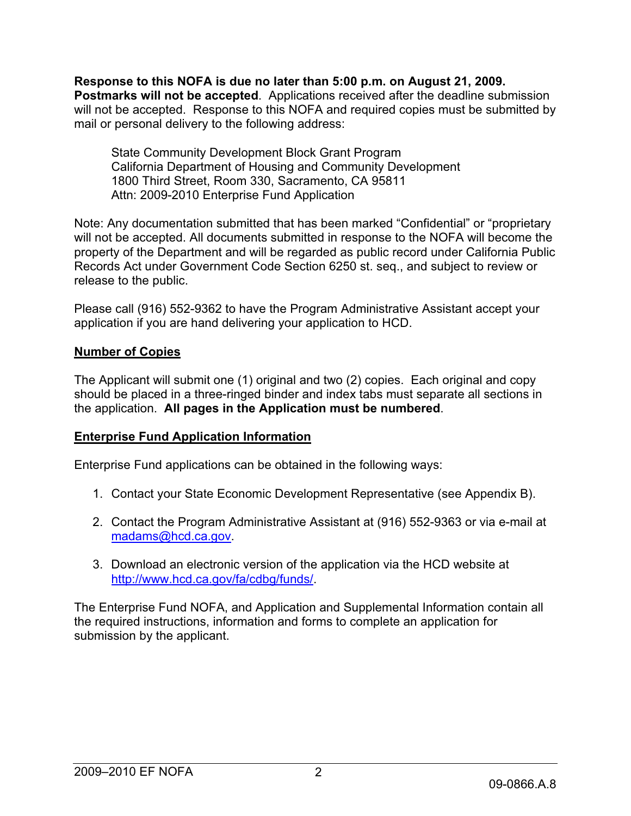**Response to this NOFA is due no later than 5:00 p.m. on August 21, 2009. Postmarks will not be accepted**. Applications received after the deadline submission will not be accepted. Response to this NOFA and required copies must be submitted by mail or personal delivery to the following address:

State Community Development Block Grant Program California Department of Housing and Community Development 1800 Third Street, Room 330, Sacramento, CA 95811 Attn: 2009-2010 Enterprise Fund Application

Note: Any documentation submitted that has been marked "Confidential" or "proprietary will not be accepted. All documents submitted in response to the NOFA will become the property of the Department and will be regarded as public record under California Public Records Act under Government Code Section 6250 st. seq., and subject to review or release to the public.

Please call (916) 552-9362 to have the Program Administrative Assistant accept your application if you are hand delivering your application to HCD.

#### **Number of Copies**

The Applicant will submit one (1) original and two (2) copies. Each original and copy should be placed in a three-ringed binder and index tabs must separate all sections in the application. **All pages in the Application must be numbered**.

#### **Enterprise Fund Application Information**

Enterprise Fund applications can be obtained in the following ways:

- 1. Contact your State Economic Development Representative (see Appendix B).
- 2. Contact the Program Administrative Assistant at (916) 552-9363 or via e-mail at madams@hcd.ca.gov.
- 3. Download an electronic version of the application via the HCD website at http://www.hcd.ca.gov/fa/cdbg/funds/.

The Enterprise Fund NOFA, and Application and Supplemental Information contain all the required instructions, information and forms to complete an application for submission by the applicant.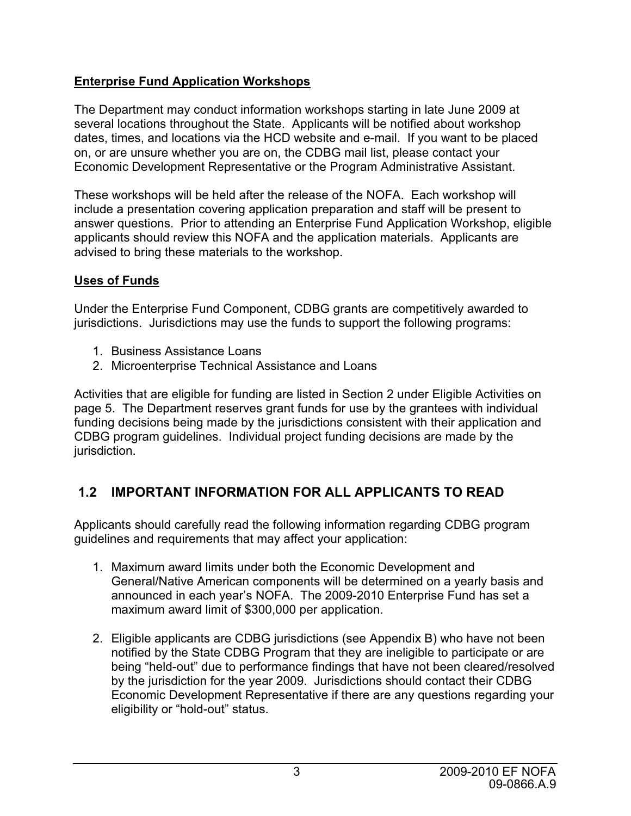#### **Enterprise Fund Application Workshops**

The Department may conduct information workshops starting in late June 2009 at several locations throughout the State. Applicants will be notified about workshop dates, times, and locations via the HCD website and e-mail. If you want to be placed on, or are unsure whether you are on, the CDBG mail list, please contact your Economic Development Representative or the Program Administrative Assistant.

These workshops will be held after the release of the NOFA. Each workshop will include a presentation covering application preparation and staff will be present to answer questions. Prior to attending an Enterprise Fund Application Workshop, eligible applicants should review this NOFA and the application materials. Applicants are advised to bring these materials to the workshop.

## **Uses of Funds**

Under the Enterprise Fund Component, CDBG grants are competitively awarded to jurisdictions. Jurisdictions may use the funds to support the following programs:

- 1. Business Assistance Loans
- 2. Microenterprise Technical Assistance and Loans

Activities that are eligible for funding are listed in Section 2 under Eligible Activities on page 5. The Department reserves grant funds for use by the grantees with individual funding decisions being made by the jurisdictions consistent with their application and CDBG program guidelines. Individual project funding decisions are made by the jurisdiction.

## **1.2 IMPORTANT INFORMATION FOR ALL APPLICANTS TO READ**

Applicants should carefully read the following information regarding CDBG program guidelines and requirements that may affect your application:

- 1. Maximum award limits under both the Economic Development and General/Native American components will be determined on a yearly basis and announced in each year's NOFA. The 2009-2010 Enterprise Fund has set a maximum award limit of \$300,000 per application.
- 2. Eligible applicants are CDBG jurisdictions (see Appendix B) who have not been notified by the State CDBG Program that they are ineligible to participate or are being "held-out" due to performance findings that have not been cleared/resolved by the jurisdiction for the year 2009. Jurisdictions should contact their CDBG Economic Development Representative if there are any questions regarding your eligibility or "hold-out" status.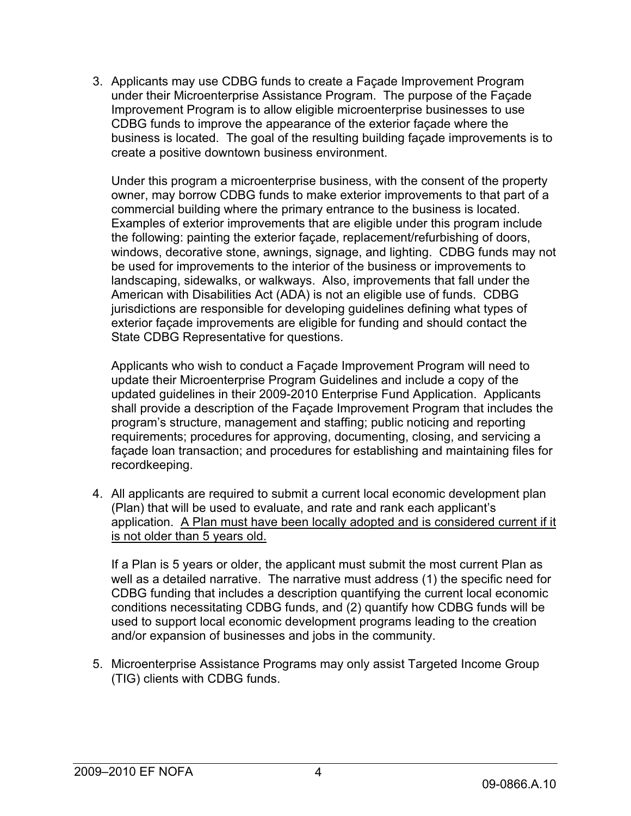3. Applicants may use CDBG funds to create a Façade Improvement Program under their Microenterprise Assistance Program. The purpose of the Façade Improvement Program is to allow eligible microenterprise businesses to use CDBG funds to improve the appearance of the exterior façade where the business is located. The goal of the resulting building façade improvements is to create a positive downtown business environment.

Under this program a microenterprise business, with the consent of the property owner, may borrow CDBG funds to make exterior improvements to that part of a commercial building where the primary entrance to the business is located. Examples of exterior improvements that are eligible under this program include the following: painting the exterior façade, replacement/refurbishing of doors, windows, decorative stone, awnings, signage, and lighting. CDBG funds may not be used for improvements to the interior of the business or improvements to landscaping, sidewalks, or walkways. Also, improvements that fall under the American with Disabilities Act (ADA) is not an eligible use of funds. CDBG jurisdictions are responsible for developing guidelines defining what types of exterior façade improvements are eligible for funding and should contact the State CDBG Representative for questions.

Applicants who wish to conduct a Façade Improvement Program will need to update their Microenterprise Program Guidelines and include a copy of the updated guidelines in their 2009-2010 Enterprise Fund Application. Applicants shall provide a description of the Façade Improvement Program that includes the program's structure, management and staffing; public noticing and reporting requirements; procedures for approving, documenting, closing, and servicing a façade loan transaction; and procedures for establishing and maintaining files for recordkeeping.

4. All applicants are required to submit a current local economic development plan (Plan) that will be used to evaluate, and rate and rank each applicant's application. A Plan must have been locally adopted and is considered current if it is not older than 5 years old.

If a Plan is 5 years or older, the applicant must submit the most current Plan as well as a detailed narrative. The narrative must address (1) the specific need for CDBG funding that includes a description quantifying the current local economic conditions necessitating CDBG funds, and (2) quantify how CDBG funds will be used to support local economic development programs leading to the creation and/or expansion of businesses and jobs in the community.

5. Microenterprise Assistance Programs may only assist Targeted Income Group (TIG) clients with CDBG funds.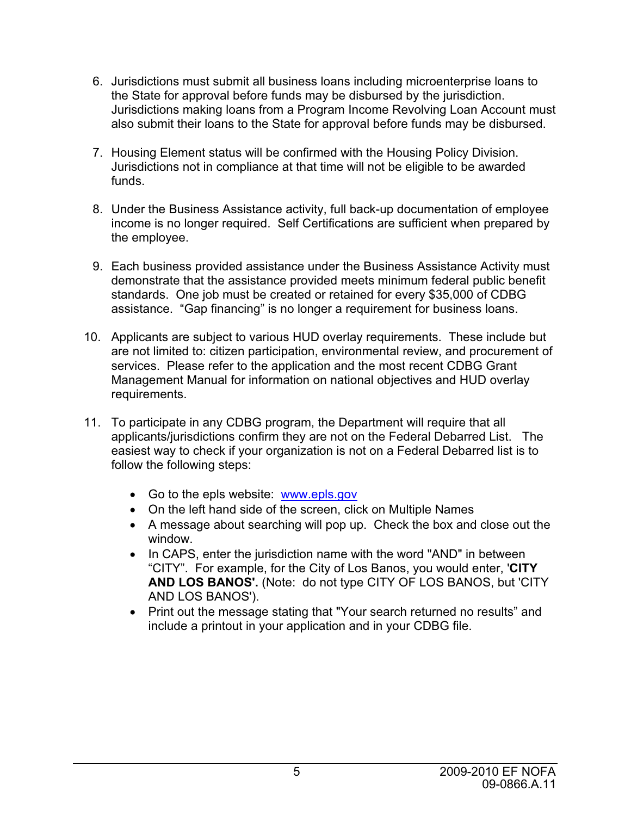- 6. Jurisdictions must submit all business loans including microenterprise loans to the State for approval before funds may be disbursed by the jurisdiction. Jurisdictions making loans from a Program Income Revolving Loan Account must also submit their loans to the State for approval before funds may be disbursed.
- 7. Housing Element status will be confirmed with the Housing Policy Division. Jurisdictions not in compliance at that time will not be eligible to be awarded funds.
- 8. Under the Business Assistance activity, full back-up documentation of employee income is no longer required. Self Certifications are sufficient when prepared by the employee.
- 9. Each business provided assistance under the Business Assistance Activity must demonstrate that the assistance provided meets minimum federal public benefit standards. One job must be created or retained for every \$35,000 of CDBG assistance. "Gap financing" is no longer a requirement for business loans.
- 10. Applicants are subject to various HUD overlay requirements. These include but are not limited to: citizen participation, environmental review, and procurement of services. Please refer to the application and the most recent CDBG Grant Management Manual for information on national objectives and HUD overlay requirements.
- 11. To participate in any CDBG program, the Department will require that all applicants/jurisdictions confirm they are not on the Federal Debarred List. The easiest way to check if your organization is not on a Federal Debarred list is to follow the following steps:
	- Go to the epls website: www.epls.gov
	- On the left hand side of the screen, click on Multiple Names
	- A message about searching will pop up. Check the box and close out the window.
	- In CAPS, enter the jurisdiction name with the word "AND" in between "CITY". For example, for the City of Los Banos, you would enter, '**CITY AND LOS BANOS'.** (Note: do not type CITY OF LOS BANOS, but 'CITY AND LOS BANOS').
	- $\bullet$  Print out the message stating that "Your search returned no results" and include a printout in your application and in your CDBG file.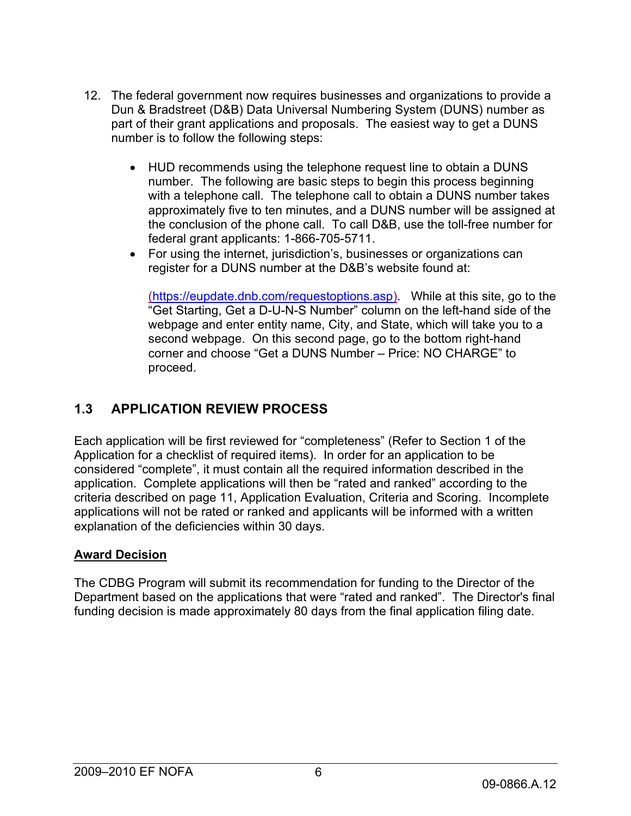- 12. The federal government now requires businesses and organizations to provide a Dun & Bradstreet (D&B) Data Universal Numbering System (DUNS) number as part of their grant applications and proposals. The easiest way to get a DUNS number is to follow the following steps:
	- HUD recommends using the telephone request line to obtain a DUNS number. The following are basic steps to begin this process beginning with a telephone call. The telephone call to obtain a DUNS number takes approximately five to ten minutes, and a DUNS number will be assigned at the conclusion of the phone call. To call D&B, use the toll-free number for federal grant applicants: 1-866-705-5711.
	- $\bullet$  For using the internet, jurisdiction's, businesses or organizations can register for a DUNS number at the D&B's website found at:

(https://eupdate.dnb.com/requestoptions.asp). While at this site, go to the "Get Starting, Get a D-U-N-S Number" column on the left-hand side of the webpage and enter entity name, City, and State, which will take you to a second webpage. On this second page, go to the bottom right-hand corner and choose "Get a DUNS Number – Price: NO CHARGE" to proceed.

#### **1.3 APPLICATION REVIEW PROCESS**

Each application will be first reviewed for "completeness" (Refer to Section 1 of the Application for a checklist of required items). In order for an application to be considered "complete", it must contain all the required information described in the application. Complete applications will then be "rated and ranked" according to the criteria described on page 11, Application Evaluation, Criteria and Scoring. Incomplete applications will not be rated or ranked and applicants will be informed with a written explanation of the deficiencies within 30 days.

#### **Award Decision**

The CDBG Program will submit its recommendation for funding to the Director of the Department based on the applications that were "rated and ranked". The Director's final funding decision is made approximately 80 days from the final application filing date.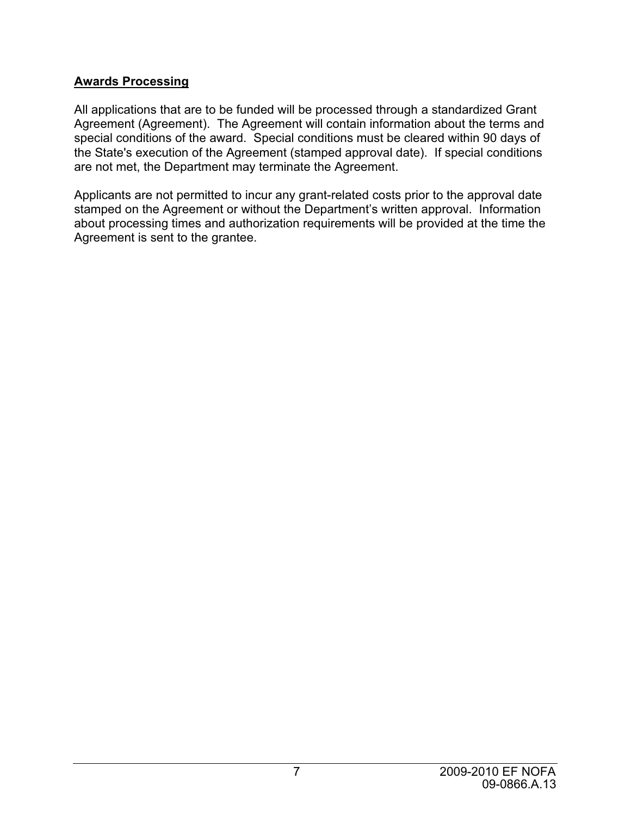#### **Awards Processing**

All applications that are to be funded will be processed through a standardized Grant Agreement (Agreement). The Agreement will contain information about the terms and special conditions of the award. Special conditions must be cleared within 90 days of the State's execution of the Agreement (stamped approval date). If special conditions are not met, the Department may terminate the Agreement.

Applicants are not permitted to incur any grant-related costs prior to the approval date stamped on the Agreement or without the Department's written approval. Information about processing times and authorization requirements will be provided at the time the Agreement is sent to the grantee.